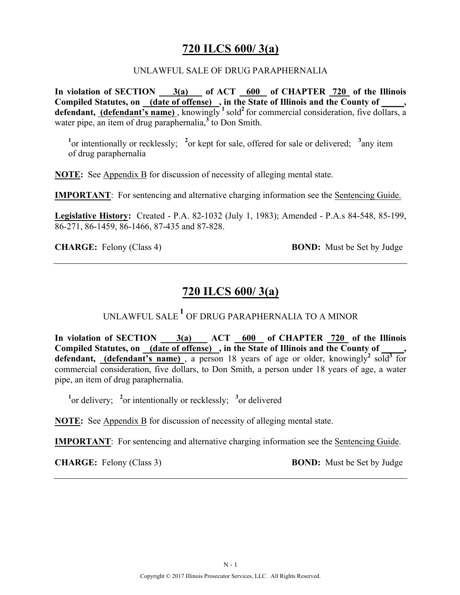### **720 ILCS 600/ 3(a)**

#### UNLAWFUL SALE OF DRUG PARAPHERNALIA

**In violation of SECTION 3(a) of ACT 600 of CHAPTER 720 of the Illinois Compiled Statutes, on (date of offense) , in the State of Illinois and the County of \_\_\_\_\_, defendant, (defendant's name)**, knowingly  $\frac{1}{2}$  sold<sup>2</sup> for commercial consideration, five dollars, a water pipe, an item of drug paraphernalia,<sup>3</sup> to Don Smith.

<sup>1</sup><sup>or</sup> intentionally or recklessly; <sup>2</sup><sup>or</sup> kept for sale, offered for sale or delivered; <sup>3</sup> any item of drug paraphernalia

**NOTE:** See Appendix B for discussion of necessity of alleging mental state.

**IMPORTANT**: For sentencing and alternative charging information see the Sentencing Guide.

**Legislative History:** Created - P.A. 82-1032 (July 1, 1983); Amended - P.A.s 84-548, 85-199, 86-271, 86-1459, 86-1466, 87-435 and 87-828.

**CHARGE:** Felony (Class 4) **BOND:** Must be Set by Judge

### **720 ILCS 600/ 3(a)**

UNLAWFUL SALE **<sup>1</sup>** OF DRUG PARAPHERNALIA TO A MINOR

In violation of SECTION 3(a) ACT 600 of CHAPTER 720 of the Illinois Compiled Statutes, on (date of offense), in the State of Illinois and the County of **defendant, (defendant's name)**, a person 18 years of age or older, knowingly<sup>2</sup> sold<sup>3</sup> for commercial consideration, five dollars, to Don Smith, a person under 18 years of age, a water pipe, an item of drug paraphernalia.

<sup>1</sup><sup>or</sup> delivery; <sup>2</sup><sub>or</sub> intentionally or recklessly; <sup>3</sup><sub>or</sub> delivered

**NOTE:** See Appendix B for discussion of necessity of alleging mental state.

**IMPORTANT**: For sentencing and alternative charging information see the Sentencing Guide.

**CHARGE:** Felony (Class 3) **BOND:** Must be Set by Judge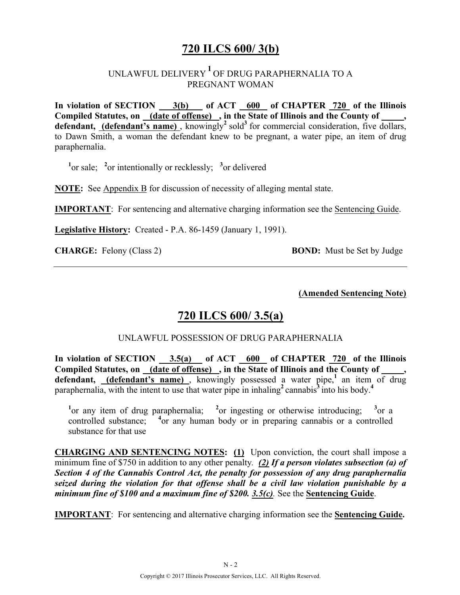# **720 ILCS 600/ 3(b)**

### UNLAWFUL DELIVERY **<sup>1</sup>** OF DRUG PARAPHERNALIA TO A PREGNANT WOMAN

In violation of SECTION 3(b) of ACT 600 of CHAPTER 720 of the Illinois **Compiled Statutes, on (date of offense) , in the State of Illinois and the County of \_\_\_\_\_,**  defendant, (defendant's name), knowingly<sup>2</sup> sold<sup>3</sup> for commercial consideration, five dollars, to Dawn Smith, a woman the defendant knew to be pregnant, a water pipe, an item of drug paraphernalia.

<sup>1</sup><sup>or sale; <sup>2</sup><sub>or</sub> intentionally or recklessly; <sup>3</sup><sub>or</sub> delivered</sup>

**NOTE:** See Appendix B for discussion of necessity of alleging mental state.

**IMPORTANT**: For sentencing and alternative charging information see the Sentencing Guide.

**Legislative History:** Created - P.A. 86-1459 (January 1, 1991).

**CHARGE:** Felony (Class 2) **BOND:** Must be Set by Judge

**(Amended Sentencing Note)**

### **720 ILCS 600/ 3.5(a)**

#### UNLAWFUL POSSESSION OF DRUG PARAPHERNALIA

**In violation of SECTION 3.5(a) of ACT 600 of CHAPTER 720 of the Illinois**  Compiled Statutes, on (date of offense), in the State of Illinois and the County of **defendant, (defendant's name)** , knowingly possessed a water pipe,**<sup>1</sup>**an item of drug paraphernalia, with the intent to use that water pipe in inhaling<sup>2</sup> cannabis<sup>3</sup> into his body.<sup>4</sup>

<sup>1</sup> or any item of drug paraphernalia; <sup>2</sup> or ingesting or otherwise introducing; <sup>3</sup> or a controlled substance; <sup>4</sup> or any human body or in preparing cannabis or a controlled substance for that use

**CHARGING AND SENTENCING NOTES: (1)** Upon conviction, the court shall impose a minimum fine of \$750 in addition to any other penalty*. (2) If a person violates subsection (a) of Section 4 of the Cannabis Control Act, the penalty for possession of any drug paraphernalia seized during the violation for that offense shall be a civil law violation punishable by a minimum fine of \$100 and a maximum fine of \$200. 3.5(c).* See the **Sentencing Guide**.

**IMPORTANT**: For sentencing and alternative charging information see the **Sentencing Guide.**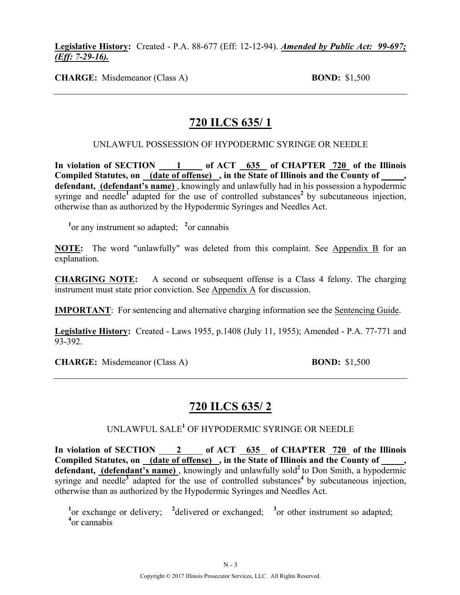#### **Legislative History:** Created - P.A. 88-677 (Eff: 12-12-94). *Amended by Public Act: 99-697; (Eff: 7-29-16).*

**CHARGE:** Misdemeanor (Class A) **BOND:** \$1,500

# **720 ILCS 635/ 1**

#### UNLAWFUL POSSESSION OF HYPODERMIC SYRINGE OR NEEDLE

In violation of SECTION 1 of ACT 635 of CHAPTER 720 of the Illinois **Compiled Statutes, on (date of offense) , in the State of Illinois and the County of \_\_\_\_\_, defendant, (defendant's name)** , knowingly and unlawfully had in his possession a hypodermic syringe and needle<sup>1</sup> adapted for the use of controlled substances<sup>2</sup> by subcutaneous injection, otherwise than as authorized by the Hypodermic Syringes and Needles Act.

<sup>1</sup> or any instrument so adapted; <sup>2</sup> or cannabis

**NOTE:** The word "unlawfully" was deleted from this complaint. See Appendix B for an explanation.

**CHARGING NOTE:** A second or subsequent offense is a Class 4 felony. The charging instrument must state prior conviction. See Appendix A for discussion.

**IMPORTANT**: For sentencing and alternative charging information see the Sentencing Guide.

**Legislative History:** Created - Laws 1955, p.1408 (July 11, 1955); Amended - P.A. 77-771 and 93-392.

**CHARGE:** Misdemeanor (Class A) **BOND:** \$1,500

### **720 ILCS 635/ 2**

UNLAWFUL SALE**<sup>1</sup>** OF HYPODERMIC SYRINGE OR NEEDLE

In violation of SECTION 2 of ACT 635 of CHAPTER 720 of the Illinois Compiled Statutes, on (date of offense), in the State of Illinois and the County of defendant, (defendant's name), knowingly and unlawfully sold<sup>2</sup> to Don Smith, a hypodermic syringe and needle<sup>3</sup> adapted for the use of controlled substances<sup>4</sup> by subcutaneous injection, otherwise than as authorized by the Hypodermic Syringes and Needles Act.

<sup>1</sup><sup>or</sup> exchange or delivery; <sup>2</sup>delivered or exchanged; <sup>3</sup><sup>or</sup> other instrument so adapted; **4** or cannabis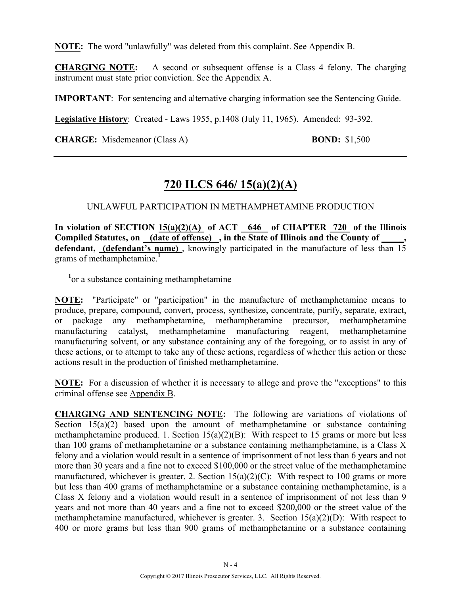**NOTE:** The word "unlawfully" was deleted from this complaint. See Appendix B.

**CHARGING NOTE:** A second or subsequent offense is a Class 4 felony. The charging instrument must state prior conviction. See the Appendix A.

**IMPORTANT**: For sentencing and alternative charging information see the Sentencing Guide.

**Legislative History**: Created - Laws 1955, p.1408 (July 11, 1965). Amended: 93-392.

**CHARGE:** Misdemeanor (Class A) **BOND:** \$1,500

# **720 ILCS 646/ 15(a)(2)(A)**

UNLAWFUL PARTICIPATION IN METHAMPHETAMINE PRODUCTION

**In violation of SECTION 15(a)(2)(A) of ACT 646 of CHAPTER 720 of the Illinois**  Compiled Statutes, on (date of offense), in the State of Illinois and the County of defendant, **(defendant's name)**, knowingly participated in the manufacture of less than 15 grams of methamphetamine.**<sup>1</sup>**

<sup>1</sup> or a substance containing methamphetamine

**NOTE:** "Participate" or "participation" in the manufacture of methamphetamine means to produce, prepare, compound, convert, process, synthesize, concentrate, purify, separate, extract, or package any methamphetamine, methamphetamine precursor, methamphetamine manufacturing catalyst, methamphetamine manufacturing reagent, methamphetamine manufacturing solvent, or any substance containing any of the foregoing, or to assist in any of these actions, or to attempt to take any of these actions, regardless of whether this action or these actions result in the production of finished methamphetamine.

**NOTE:** For a discussion of whether it is necessary to allege and prove the "exceptions" to this criminal offense see Appendix B.

**CHARGING AND SENTENCING NOTE:** The following are variations of violations of Section  $15(a)(2)$  based upon the amount of methamphetamine or substance containing methamphetamine produced. 1. Section  $15(a)(2)(B)$ : With respect to 15 grams or more but less than 100 grams of methamphetamine or a substance containing methamphetamine, is a Class X felony and a violation would result in a sentence of imprisonment of not less than 6 years and not more than 30 years and a fine not to exceed \$100,000 or the street value of the methamphetamine manufactured, whichever is greater. 2. Section  $15(a)(2)(C)$ : With respect to 100 grams or more but less than 400 grams of methamphetamine or a substance containing methamphetamine, is a Class X felony and a violation would result in a sentence of imprisonment of not less than 9 years and not more than 40 years and a fine not to exceed \$200,000 or the street value of the methamphetamine manufactured, whichever is greater. 3. Section 15(a)(2)(D): With respect to 400 or more grams but less than 900 grams of methamphetamine or a substance containing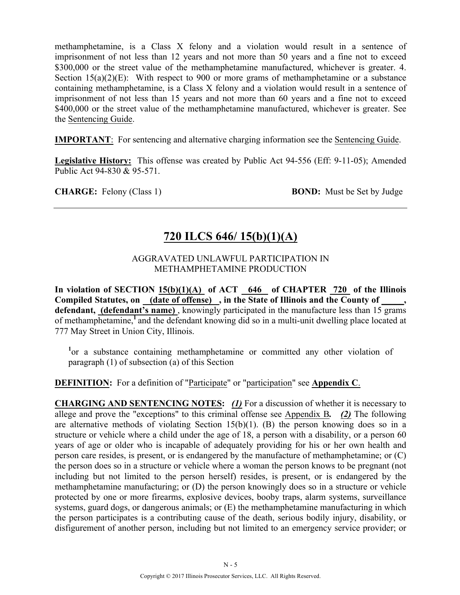methamphetamine, is a Class X felony and a violation would result in a sentence of imprisonment of not less than 12 years and not more than 50 years and a fine not to exceed \$300,000 or the street value of the methamphetamine manufactured, whichever is greater. 4. Section  $15(a)(2)(E)$ : With respect to 900 or more grams of methamphetamine or a substance containing methamphetamine, is a Class X felony and a violation would result in a sentence of imprisonment of not less than 15 years and not more than 60 years and a fine not to exceed \$400,000 or the street value of the methamphetamine manufactured, whichever is greater. See the Sentencing Guide.

**IMPORTANT**: For sentencing and alternative charging information see the Sentencing Guide.

**Legislative History:** This offense was created by Public Act 94-556 (Eff: 9-11-05); Amended Public Act 94-830 & 95-571.

**CHARGE:** Felony (Class 1) **BOND:** Must be Set by Judge

# **720 ILCS 646/ 15(b)(1)(A)**

#### AGGRAVATED UNLAWFUL PARTICIPATION IN METHAMPHETAMINE PRODUCTION

In violation of SECTION 15(b)(1)(A) of ACT 646 of CHAPTER 720 of the Illinois Compiled Statutes, on (date of offense), in the State of Illinois and the County of **defendant, (defendant's name)** , knowingly participated in the manufacture less than 15 grams of methamphetamine,**<sup>1</sup>**and the defendant knowing did so in a multi-unit dwelling place located at 777 May Street in Union City, Illinois.

<sup>1</sup>or a substance containing methamphetamine or committed any other violation of paragraph (1) of subsection (a) of this Section

**DEFINITION:** For a definition of "Participate" or "participation" see **Appendix C**.

**CHARGING AND SENTENCING NOTES:** *(1)* For a discussion of whether it is necessary to allege and prove the "exceptions" to this criminal offense see Appendix B*. (2)* The following are alternative methods of violating Section 15(b)(1). (B) the person knowing does so in a structure or vehicle where a child under the age of 18, a person with a disability, or a person 60 years of age or older who is incapable of adequately providing for his or her own health and person care resides, is present, or is endangered by the manufacture of methamphetamine; or (C) the person does so in a structure or vehicle where a woman the person knows to be pregnant (not including but not limited to the person herself) resides, is present, or is endangered by the methamphetamine manufacturing; or (D) the person knowingly does so in a structure or vehicle protected by one or more firearms, explosive devices, booby traps, alarm systems, surveillance systems, guard dogs, or dangerous animals; or (E) the methamphetamine manufacturing in which the person participates is a contributing cause of the death, serious bodily injury, disability, or disfigurement of another person, including but not limited to an emergency service provider; or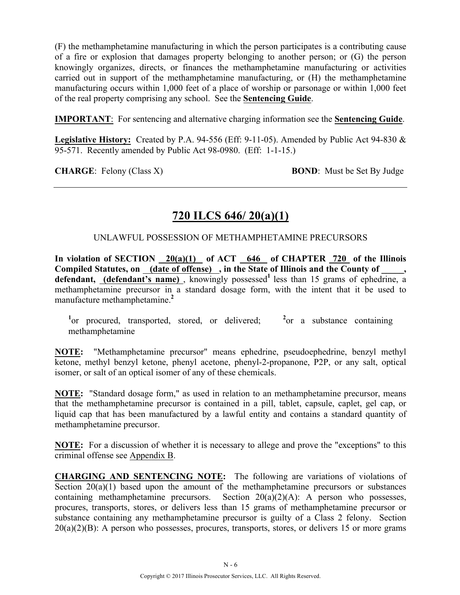(F) the methamphetamine manufacturing in which the person participates is a contributing cause of a fire or explosion that damages property belonging to another person; or (G) the person knowingly organizes, directs, or finances the methamphetamine manufacturing or activities carried out in support of the methamphetamine manufacturing, or (H) the methamphetamine manufacturing occurs within 1,000 feet of a place of worship or parsonage or within 1,000 feet of the real property comprising any school. See the **Sentencing Guide**.

**IMPORTANT**: For sentencing and alternative charging information see the **Sentencing Guide**.

**Legislative History:** Created by P.A. 94-556 (Eff: 9-11-05). Amended by Public Act 94-830 & 95-571. Recently amended by Public Act 98-0980. (Eff: 1-1-15.)

**CHARGE:** Felony (Class X) **BOND**: Must be Set By Judge

# **720 ILCS 646/ 20(a)(1)**

#### UNLAWFUL POSSESSION OF METHAMPHETAMINE PRECURSORS

**In violation of SECTION 20(a)(1) of ACT 646 of CHAPTER 720 of the Illinois Compiled Statutes, on (date of offense) , in the State of Illinois and the County of \_\_\_\_\_,**  defendant, **(defendant's name)**, knowingly possessed<sup>1</sup> less than 15 grams of ephedrine, a methamphetamine precursor in a standard dosage form, with the intent that it be used to manufacture methamphetamine.**<sup>2</sup>**

<sup>1</sup> or procured, transported, stored, or delivered; <sup>2</sup> or a substance containing methamphetamine

**NOTE:** "Methamphetamine precursor" means ephedrine, pseudoephedrine, benzyl methyl ketone, methyl benzyl ketone, phenyl acetone, phenyl-2-propanone, P2P, or any salt, optical isomer, or salt of an optical isomer of any of these chemicals.

**NOTE:** "Standard dosage form," as used in relation to an methamphetamine precursor, means that the methamphetamine precursor is contained in a pill, tablet, capsule, caplet, gel cap, or liquid cap that has been manufactured by a lawful entity and contains a standard quantity of methamphetamine precursor.

**NOTE:** For a discussion of whether it is necessary to allege and prove the "exceptions" to this criminal offense see Appendix B.

**CHARGING AND SENTENCING NOTE:** The following are variations of violations of Section  $20(a)(1)$  based upon the amount of the methamphetamine precursors or substances containing methamphetamine precursors. Section 20(a)(2)(A): A person who possesses, procures, transports, stores, or delivers less than 15 grams of methamphetamine precursor or substance containing any methamphetamine precursor is guilty of a Class 2 felony. Section  $20(a)(2)(B)$ : A person who possesses, procures, transports, stores, or delivers 15 or more grams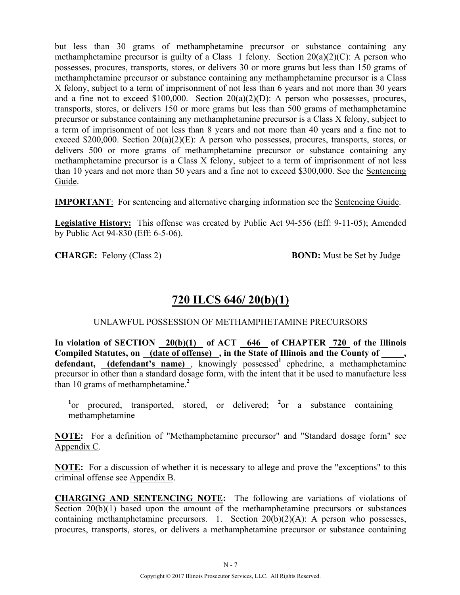but less than 30 grams of methamphetamine precursor or substance containing any methamphetamine precursor is guilty of a Class 1 felony. Section  $20(a)(2)(C)$ : A person who possesses, procures, transports, stores, or delivers 30 or more grams but less than 150 grams of methamphetamine precursor or substance containing any methamphetamine precursor is a Class X felony, subject to a term of imprisonment of not less than 6 years and not more than 30 years and a fine not to exceed  $$100,000$ . Section  $20(a)(2)(D)$ : A person who possesses, procures, transports, stores, or delivers 150 or more grams but less than 500 grams of methamphetamine precursor or substance containing any methamphetamine precursor is a Class X felony, subject to a term of imprisonment of not less than 8 years and not more than 40 years and a fine not to exceed \$200,000. Section 20(a)(2)(E): A person who possesses, procures, transports, stores, or delivers 500 or more grams of methamphetamine precursor or substance containing any methamphetamine precursor is a Class X felony, subject to a term of imprisonment of not less than 10 years and not more than 50 years and a fine not to exceed \$300,000. See the Sentencing Guide.

**IMPORTANT**: For sentencing and alternative charging information see the Sentencing Guide.

**Legislative History:** This offense was created by Public Act 94-556 (Eff: 9-11-05); Amended by Public Act 94-830 (Eff: 6-5-06).

**CHARGE:** Felony (Class 2) **BOND:** Must be Set by Judge

# **720 ILCS 646/ 20(b)(1)**

#### UNLAWFUL POSSESSION OF METHAMPHETAMINE PRECURSORS

**In violation of SECTION 20(b)(1) of ACT 646 of CHAPTER 720 of the Illinois Compiled Statutes, on (date of offense) , in the State of Illinois and the County of \_\_\_\_\_,**  defendant, (defendant's name), knowingly possessed<sup>1</sup> ephedrine, a methamphetamine precursor in other than a standard dosage form, with the intent that it be used to manufacture less than 10 grams of methamphetamine.**<sup>2</sup>**

<sup>1</sup>or procured, transported, stored, or delivered; <sup>2</sup>or a substance containing methamphetamine

**NOTE:** For a definition of "Methamphetamine precursor" and "Standard dosage form" see Appendix C.

**NOTE:** For a discussion of whether it is necessary to allege and prove the "exceptions" to this criminal offense see Appendix B.

**CHARGING AND SENTENCING NOTE:** The following are variations of violations of Section 20(b)(1) based upon the amount of the methamphetamine precursors or substances containing methamphetamine precursors. 1. Section  $20(b)(2)(A)$ : A person who possesses, procures, transports, stores, or delivers a methamphetamine precursor or substance containing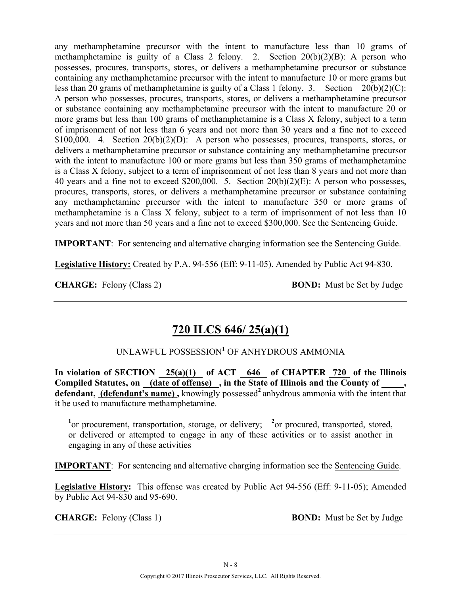any methamphetamine precursor with the intent to manufacture less than 10 grams of methamphetamine is guilty of a Class 2 felony. 2. Section  $20(b)(2)(B)$ : A person who possesses, procures, transports, stores, or delivers a methamphetamine precursor or substance containing any methamphetamine precursor with the intent to manufacture 10 or more grams but less than 20 grams of methamphetamine is guilty of a Class 1 felony. 3. Section 20(b)(2)(C): A person who possesses, procures, transports, stores, or delivers a methamphetamine precursor or substance containing any methamphetamine precursor with the intent to manufacture 20 or more grams but less than 100 grams of methamphetamine is a Class X felony, subject to a term of imprisonment of not less than 6 years and not more than 30 years and a fine not to exceed \$100,000. 4. Section 20(b)(2)(D): A person who possesses, procures, transports, stores, or delivers a methamphetamine precursor or substance containing any methamphetamine precursor with the intent to manufacture 100 or more grams but less than 350 grams of methamphetamine is a Class X felony, subject to a term of imprisonment of not less than 8 years and not more than 40 years and a fine not to exceed \$200,000. 5. Section 20(b)(2)(E): A person who possesses, procures, transports, stores, or delivers a methamphetamine precursor or substance containing any methamphetamine precursor with the intent to manufacture 350 or more grams of methamphetamine is a Class X felony, subject to a term of imprisonment of not less than 10 years and not more than 50 years and a fine not to exceed \$300,000. See the Sentencing Guide.

**IMPORTANT**: For sentencing and alternative charging information see the Sentencing Guide.

**Legislative History:** Created by P.A. 94-556 (Eff: 9-11-05). Amended by Public Act 94-830.

**CHARGE:** Felony (Class 2) **BOND:** Must be Set by Judge

# **720 ILCS 646/ 25(a)(1)**

### UNLAWFUL POSSESSION**<sup>1</sup>** OF ANHYDROUS AMMONIA

In violation of SECTION  $25(a)(1)$  of ACT 646 of CHAPTER 720 of the Illinois **Compiled Statutes, on (date of offense) , in the State of Illinois and the County of \_\_\_\_\_,**  defendant, (defendant's name), knowingly possessed<sup>2</sup> anhydrous ammonia with the intent that it be used to manufacture methamphetamine.

<sup>1</sup> or procurement, transportation, storage, or delivery; <sup>2</sup> or procured, transported, stored, or delivered or attempted to engage in any of these activities or to assist another in engaging in any of these activities

**IMPORTANT**: For sentencing and alternative charging information see the Sentencing Guide.

**Legislative History:** This offense was created by Public Act 94-556 (Eff: 9-11-05); Amended by Public Act 94-830 and 95-690.

**CHARGE:** Felony (Class 1) **BOND:** Must be Set by Judge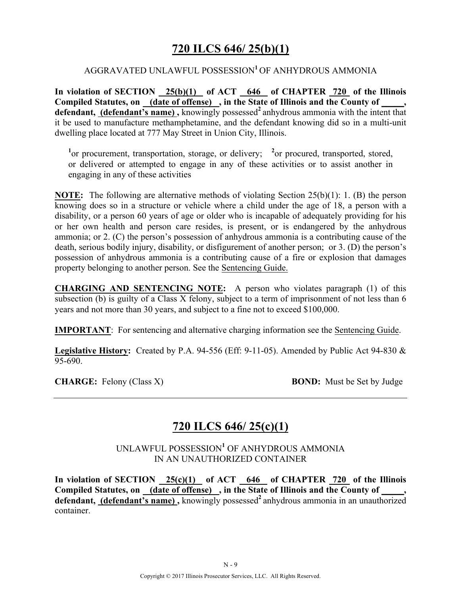# **720 ILCS 646/ 25(b)(1)**

#### AGGRAVATED UNLAWFUL POSSESSION**<sup>1</sup>**OF ANHYDROUS AMMONIA

**In violation of SECTION 25(b)(1) of ACT 646 of CHAPTER 720 of the Illinois**  Compiled Statutes, on (date of offense), in the State of Illinois and the County of defendant, (defendant's name), knowingly possessed<sup>2</sup> anhydrous ammonia with the intent that it be used to manufacture methamphetamine, and the defendant knowing did so in a multi-unit dwelling place located at 777 May Street in Union City, Illinois.

<sup>1</sup> or procurement, transportation, storage, or delivery; <sup>2</sup> or procured, transported, stored, or delivered or attempted to engage in any of these activities or to assist another in engaging in any of these activities

**NOTE:** The following are alternative methods of violating Section 25(b)(1): 1. (B) the person knowing does so in a structure or vehicle where a child under the age of 18, a person with a disability, or a person 60 years of age or older who is incapable of adequately providing for his or her own health and person care resides, is present, or is endangered by the anhydrous ammonia; or 2. (C) the person's possession of anhydrous ammonia is a contributing cause of the death, serious bodily injury, disability, or disfigurement of another person; or 3. (D) the person's possession of anhydrous ammonia is a contributing cause of a fire or explosion that damages property belonging to another person. See the Sentencing Guide.

**CHARGING AND SENTENCING NOTE:** A person who violates paragraph (1) of this subsection (b) is guilty of a Class  $\overline{X}$  felony, subject to a term of imprisonment of not less than 6 years and not more than 30 years, and subject to a fine not to exceed \$100,000.

**IMPORTANT**: For sentencing and alternative charging information see the Sentencing Guide.

**Legislative History:** Created by P.A. 94-556 (Eff: 9-11-05). Amended by Public Act 94-830 &  $\overline{95-690}$ 

**CHARGE:** Felony (Class X) **BOND:** Must be Set by Judge

# **720 ILCS 646/ 25(c)(1)**

UNLAWFUL POSSESSION**<sup>1</sup>** OF ANHYDROUS AMMONIA IN AN UNAUTHORIZED CONTAINER

In violation of SECTION  $\frac{25(c)(1)}{25(c)(1)}$  of ACT  $\frac{646}{646}$  of CHAPTER  $\frac{720}{20}$  of the Illinois Compiled Statutes, on (date of offense), in the State of Illinois and the County of defendant, (defendant's name), knowingly possessed<sup>2</sup> anhydrous ammonia in an unauthorized container.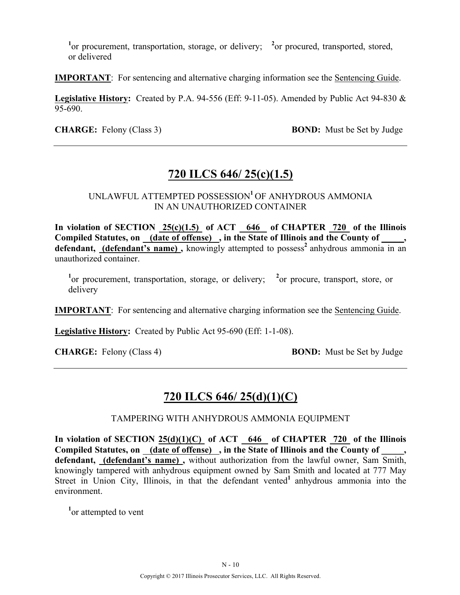<sup>1</sup> or procurement, transportation, storage, or delivery; <sup>2</sup> or procured, transported, stored, or delivered

**IMPORTANT**: For sentencing and alternative charging information see the Sentencing Guide.

**Legislative History:** Created by P.A. 94-556 (Eff: 9-11-05). Amended by Public Act 94-830 & 95-690.

**CHARGE:** Felony (Class 3) **BOND:** Must be Set by Judge

# **720 ILCS 646/ 25(c)(1.5)**

UNLAWFUL ATTEMPTED POSSESSION**<sup>1</sup>**OF ANHYDROUS AMMONIA IN AN UNAUTHORIZED CONTAINER

**In violation of SECTION 25(c)(1.5) of ACT 646 of CHAPTER 720 of the Illinois**  Compiled Statutes, on (date of offense), in the State of Illinois and the County of, defendant, (defendant's name), knowingly attempted to possess<sup>2</sup> anhydrous ammonia in an unauthorized container.

<sup>1</sup><sup>or</sup> procurement, transportation, storage, or delivery; <sup>2</sup> or procure, transport, store, or delivery

**IMPORTANT**: For sentencing and alternative charging information see the Sentencing Guide.

**Legislative History:** Created by Public Act 95-690 (Eff: 1-1-08).

**CHARGE:** Felony (Class 4) **BOND:** Must be Set by Judge

# **720 ILCS 646/ 25(d)(1)(C)**

TAMPERING WITH ANHYDROUS AMMONIA EQUIPMENT

**In violation of SECTION 25(d)(1)(C) of ACT 646 of CHAPTER 720 of the Illinois**  Compiled Statutes, on (date of offense), in the State of Illinois and the County of **defendant, (defendant's name) ,** without authorization from the lawful owner, Sam Smith, knowingly tampered with anhydrous equipment owned by Sam Smith and located at 777 May Street in Union City, Illinois, in that the defendant vented<sup>1</sup> anhydrous ammonia into the environment.

<sup>1</sup><sub>or</sub> attempted to vent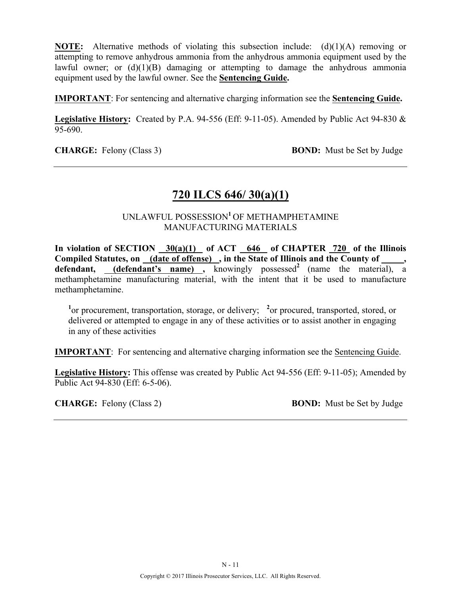**NOTE:** Alternative methods of violating this subsection include: (d)(1)(A) removing or attempting to remove anhydrous ammonia from the anhydrous ammonia equipment used by the lawful owner; or  $(d)(1)(B)$  damaging or attempting to damage the anhydrous ammonia equipment used by the lawful owner. See the **Sentencing Guide.**

**IMPORTANT**: For sentencing and alternative charging information see the **Sentencing Guide.**

**Legislative History:** Created by P.A. 94-556 (Eff: 9-11-05). Amended by Public Act 94-830 & 95-690.

**CHARGE:** Felony (Class 3) **BOND:** Must be Set by Judge

### **720 ILCS 646/ 30(a)(1)**

### UNLAWFUL POSSESSION**<sup>1</sup>**OF METHAMPHETAMINE MANUFACTURING MATERIALS

In violation of SECTION  $30(a)(1)$  of ACT  $646$  of CHAPTER 720 of the Illinois Compiled Statutes, on (date of offense), in the State of Illinois and the County of defendant, (defendant's name), knowingly possessed<sup>2</sup> (name the material), a methamphetamine manufacturing material, with the intent that it be used to manufacture methamphetamine.

<sup>1</sup> or procurement, transportation, storage, or delivery; <sup>2</sup> or procured, transported, stored, or delivered or attempted to engage in any of these activities or to assist another in engaging in any of these activities

**IMPORTANT**: For sentencing and alternative charging information see the Sentencing Guide.

**Legislative History:** This offense was created by Public Act 94-556 (Eff: 9-11-05); Amended by Public Act 94-830 (Eff: 6-5-06).

**CHARGE:** Felony (Class 2) **BOND:** Must be Set by Judge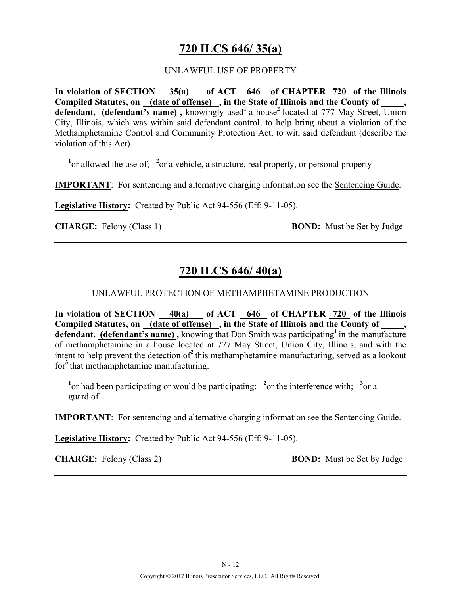# **720 ILCS 646/ 35(a)**

#### UNLAWFUL USE OF PROPERTY

**In violation of SECTION 35(a) of ACT 646 of CHAPTER 720 of the Illinois Compiled Statutes, on (date of offense) , in the State of Illinois and the County of \_\_\_\_\_,**  defendant, (defendant's name), knowingly used<sup>1</sup> a house<sup>2</sup> located at 777 May Street, Union City, Illinois, which was within said defendant control, to help bring about a violation of the Methamphetamine Control and Community Protection Act, to wit, said defendant (describe the violation of this Act).

<sup>1</sup> or allowed the use of; <sup>2</sup> or a vehicle, a structure, real property, or personal property

**IMPORTANT**: For sentencing and alternative charging information see the Sentencing Guide.

**Legislative History:** Created by Public Act 94-556 (Eff: 9-11-05).

**CHARGE:** Felony (Class 1) **BOND:** Must be Set by Judge

# **720 ILCS 646/ 40(a)**

#### UNLAWFUL PROTECTION OF METHAMPHETAMINE PRODUCTION

**In violation of SECTION 40(a) of ACT 646 of CHAPTER 720 of the Illinois**  Compiled Statutes, on (date of offense), in the State of Illinois and the County of **defendant, (defendant's name) ,** knowing that Don Smith was participating**<sup>1</sup>**in the manufacture of methamphetamine in a house located at 777 May Street, Union City, Illinois, and with the intent to help prevent the detection of**<sup>2</sup>**this methamphetamine manufacturing, served as a lookout for**<sup>3</sup>**that methamphetamine manufacturing.

<sup>1</sup> or had been participating or would be participating; <sup>2</sup> or the interference with; <sup>3</sup> or a guard of

**IMPORTANT**: For sentencing and alternative charging information see the Sentencing Guide.

**Legislative History:** Created by Public Act 94-556 (Eff: 9-11-05).

**CHARGE:** Felony (Class 2) **BOND:** Must be Set by Judge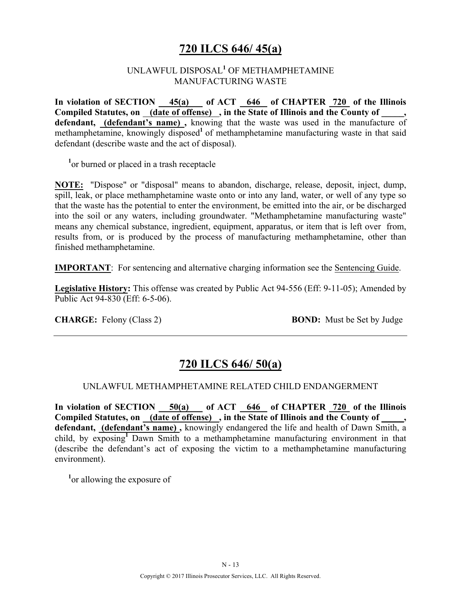# **720 ILCS 646/ 45(a)**

#### UNLAWFUL DISPOSAL**<sup>1</sup>** OF METHAMPHETAMINE MANUFACTURING WASTE

In violation of SECTION 45(a) of ACT 646 of CHAPTER 720 of the Illinois **Compiled Statutes, on (date of offense) , in the State of Illinois and the County of \_\_\_\_\_,**  defendant, **(defendant's name)**, knowing that the waste was used in the manufacture of methamphetamine, knowingly disposed<sup>1</sup> of methamphetamine manufacturing waste in that said defendant (describe waste and the act of disposal).

<sup>1</sup> or burned or placed in a trash receptacle

**NOTE:** "Dispose" or "disposal" means to abandon, discharge, release, deposit, inject, dump, spill, leak, or place methamphetamine waste onto or into any land, water, or well of any type so that the waste has the potential to enter the environment, be emitted into the air, or be discharged into the soil or any waters, including groundwater. "Methamphetamine manufacturing waste" means any chemical substance, ingredient, equipment, apparatus, or item that is left over from, results from, or is produced by the process of manufacturing methamphetamine, other than finished methamphetamine.

**IMPORTANT:** For sentencing and alternative charging information see the Sentencing Guide.

**Legislative History:** This offense was created by Public Act 94-556 (Eff: 9-11-05); Amended by Public Act 94-830 (Eff: 6-5-06).

**CHARGE:** Felony (Class 2) **BOND:** Must be Set by Judge

# **720 ILCS 646/ 50(a)**

#### UNLAWFUL METHAMPHETAMINE RELATED CHILD ENDANGERMENT

**In violation of SECTION 50(a) of ACT 646 of CHAPTER 720 of the Illinois Compiled Statutes, on (date of offense) , in the State of Illinois and the County of \_\_\_\_\_, defendant, (defendant's name) ,** knowingly endangered the life and health of Dawn Smith, a child, by exposing**<sup>1</sup>**Dawn Smith to a methamphetamine manufacturing environment in that (describe the defendant's act of exposing the victim to a methamphetamine manufacturing environment).

**1** or allowing the exposure of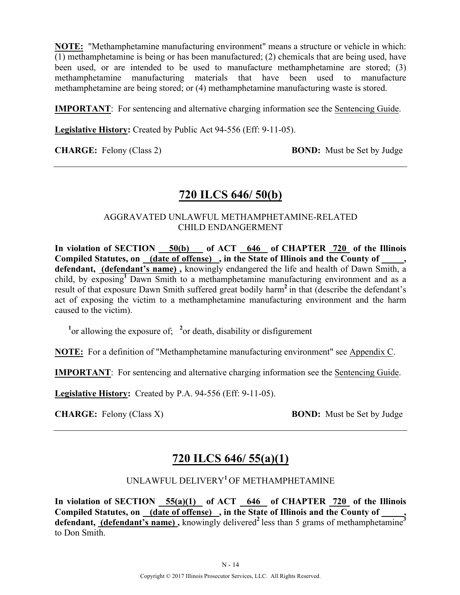**NOTE:** "Methamphetamine manufacturing environment" means a structure or vehicle in which: (1) methamphetamine is being or has been manufactured; (2) chemicals that are being used, have been used, or are intended to be used to manufacture methamphetamine are stored; (3) methamphetamine manufacturing materials that have been used to manufacture methamphetamine are being stored; or (4) methamphetamine manufacturing waste is stored.

**IMPORTANT**: For sentencing and alternative charging information see the Sentencing Guide.

**Legislative History:** Created by Public Act 94-556 (Eff: 9-11-05).

**CHARGE:** Felony (Class 2) **BOND:** Must be Set by Judge

### **720 ILCS 646/ 50(b)**

#### AGGRAVATED UNLAWFUL METHAMPHETAMINE-RELATED CHILD ENDANGERMENT

**In violation of SECTION 50(b) of ACT 646 of CHAPTER 720 of the Illinois**  Compiled Statutes, on (date of offense), in the State of Illinois and the County of **defendant, (defendant's name) ,** knowingly endangered the life and health of Dawn Smith, a child, by exposing**<sup>1</sup>**Dawn Smith to a methamphetamine manufacturing environment and as a result of that exposure Dawn Smith suffered great bodily harm**<sup>2</sup>**in that (describe the defendant's act of exposing the victim to a methamphetamine manufacturing environment and the harm caused to the victim).

<sup>1</sup> or allowing the exposure of; <sup>2</sup> or death, disability or disfigurement

**NOTE:** For a definition of "Methamphetamine manufacturing environment" see Appendix C.

**IMPORTANT**: For sentencing and alternative charging information see the Sentencing Guide.

**Legislative History:** Created by P.A. 94-556 (Eff: 9-11-05).

**CHARGE:** Felony (Class X) **BOND:** Must be Set by Judge

### **720 ILCS 646/ 55(a)(1)**

### UNLAWFUL DELIVERY**<sup>1</sup>**OF METHAMPHETAMINE

**In violation of SECTION 55(a)(1) of ACT 646 of CHAPTER 720 of the Illinois**  Compiled Statutes, on (date of offense), in the State of Illinois and the County of defendant, **(defendant's name)**, knowingly delivered<sup>2</sup> less than 5 grams of methamphetamine<sup>3</sup> to Don Smith.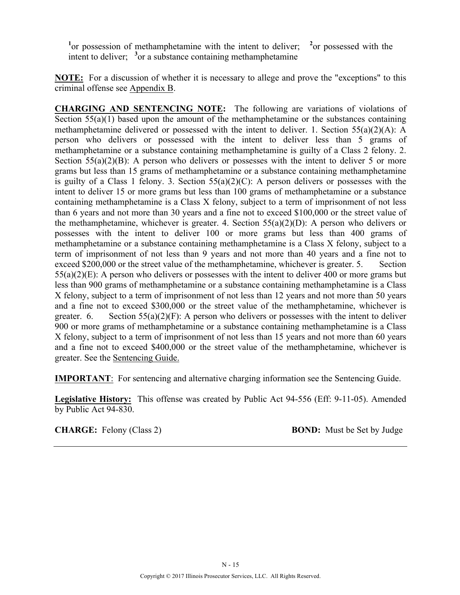<sup>1</sup><sup>or</sup> possession of methamphetamine with the intent to deliver; <sup>2</sup> <sup>2</sup> or possessed with the intent to deliver; <sup>3</sup> or a substance containing methamphetamine

**NOTE:** For a discussion of whether it is necessary to allege and prove the "exceptions" to this criminal offense see Appendix B.

**CHARGING AND SENTENCING NOTE:** The following are variations of violations of Section 55(a)(1) based upon the amount of the methamphetamine or the substances containing methamphetamine delivered or possessed with the intent to deliver. 1. Section  $55(a)(2)(A)$ : A person who delivers or possessed with the intent to deliver less than 5 grams of methamphetamine or a substance containing methamphetamine is guilty of a Class 2 felony. 2. Section  $55(a)(2)(B)$ : A person who delivers or possesses with the intent to deliver 5 or more grams but less than 15 grams of methamphetamine or a substance containing methamphetamine is guilty of a Class 1 felony. 3. Section  $55(a)(2)(C)$ : A person delivers or possesses with the intent to deliver 15 or more grams but less than 100 grams of methamphetamine or a substance containing methamphetamine is a Class X felony, subject to a term of imprisonment of not less than 6 years and not more than 30 years and a fine not to exceed \$100,000 or the street value of the methamphetamine, whichever is greater. 4. Section  $55(a)(2)(D)$ : A person who delivers or possesses with the intent to deliver 100 or more grams but less than 400 grams of methamphetamine or a substance containing methamphetamine is a Class X felony, subject to a term of imprisonment of not less than 9 years and not more than 40 years and a fine not to exceed \$200,000 or the street value of the methamphetamine, whichever is greater. 5. Section 55(a)(2)(E): A person who delivers or possesses with the intent to deliver 400 or more grams but less than 900 grams of methamphetamine or a substance containing methamphetamine is a Class X felony, subject to a term of imprisonment of not less than 12 years and not more than 50 years and a fine not to exceed \$300,000 or the street value of the methamphetamine, whichever is greater. 6. Section  $55(a)(2)(F)$ : A person who delivers or possesses with the intent to deliver 900 or more grams of methamphetamine or a substance containing methamphetamine is a Class X felony, subject to a term of imprisonment of not less than 15 years and not more than 60 years and a fine not to exceed \$400,000 or the street value of the methamphetamine, whichever is greater. See the Sentencing Guide.

**IMPORTANT**: For sentencing and alternative charging information see the Sentencing Guide.

**Legislative History:** This offense was created by Public Act 94-556 (Eff: 9-11-05). Amended by Public Act 94-830.

**CHARGE:** Felony (Class 2) **BOND:** Must be Set by Judge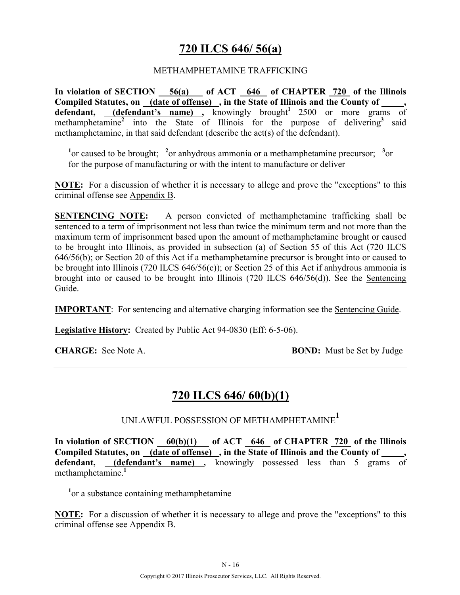# **720 ILCS 646/ 56(a)**

#### METHAMPHETAMINE TRAFFICKING

**In violation of SECTION 56(a) of ACT 646 of CHAPTER 720 of the Illinois Compiled Statutes, on (date of offense) , in the State of Illinois and the County of \_\_\_\_\_, defendant,** (**defendant's name**), knowingly brought<sup>1</sup> 2500 or more grams of methamphetamine<sup>2</sup> into the State of Illinois for the purpose of delivering<sup>3</sup> said methamphetamine, in that said defendant (describe the act(s) of the defendant).

<sup>1</sup> or caused to be brought; <sup>2</sup> or anhydrous ammonia or a methamphetamine precursor; <sup>3</sup> or for the purpose of manufacturing or with the intent to manufacture or deliver

**NOTE:** For a discussion of whether it is necessary to allege and prove the "exceptions" to this criminal offense see Appendix B.

**SENTENCING NOTE:** A person convicted of methamphetamine trafficking shall be sentenced to a term of imprisonment not less than twice the minimum term and not more than the maximum term of imprisonment based upon the amount of methamphetamine brought or caused to be brought into Illinois, as provided in subsection (a) of Section 55 of this Act (720 ILCS 646/56(b); or Section 20 of this Act if a methamphetamine precursor is brought into or caused to be brought into Illinois (720 ILCS 646/56(c)); or Section 25 of this Act if anhydrous ammonia is brought into or caused to be brought into Illinois (720 ILCS 646/56(d)). See the Sentencing Guide.

**IMPORTANT**: For sentencing and alternative charging information see the Sentencing Guide.

**Legislative History:** Created by Public Act 94-0830 (Eff: 6-5-06).

**CHARGE:** See Note A. **BOND:** Must be Set by Judge

# **720 ILCS 646/ 60(b)(1)**

UNLAWFUL POSSESSION OF METHAMPHETAMINE**<sup>1</sup>**

**In violation of SECTION 60(b)(1) of ACT 646 of CHAPTER 720 of the Illinois Compiled Statutes, on (date of offense) , in the State of Illinois and the County of \_\_\_\_\_, defendant, (defendant's name) ,** knowingly possessed less than 5 grams of methamphetamine.**<sup>1</sup>**

<sup>1</sup> or a substance containing methamphetamine

**NOTE:** For a discussion of whether it is necessary to allege and prove the "exceptions" to this criminal offense see Appendix B.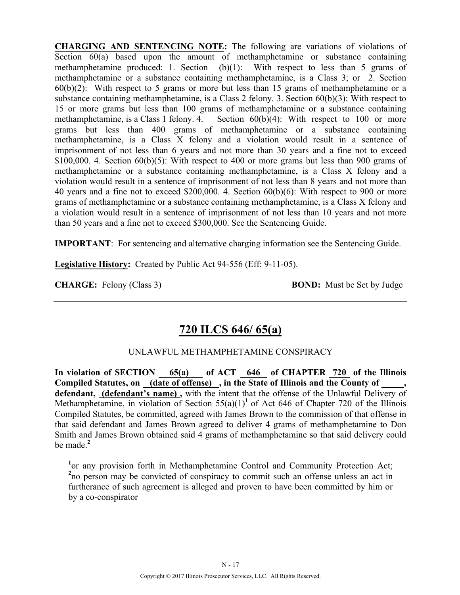**CHARGING AND SENTENCING NOTE:** The following are variations of violations of Section  $60(a)$  based upon the amount of methamphetamine or substance containing methamphetamine produced: 1. Section  $(b)(1)$ : With respect to less than 5 grams of methamphetamine or a substance containing methamphetamine, is a Class 3; or 2. Section  $60(b)(2)$ : With respect to 5 grams or more but less than 15 grams of methamphetamine or a substance containing methamphetamine, is a Class 2 felony. 3. Section 60(b)(3): With respect to 15 or more grams but less than 100 grams of methamphetamine or a substance containing methamphetamine, is a Class 1 felony. 4. Section 60(b)(4): With respect to 100 or more grams but less than 400 grams of methamphetamine or a substance containing methamphetamine, is a Class X felony and a violation would result in a sentence of imprisonment of not less than 6 years and not more than 30 years and a fine not to exceed \$100,000. 4. Section  $60(b)(5)$ : With respect to 400 or more grams but less than 900 grams of methamphetamine or a substance containing methamphetamine, is a Class X felony and a violation would result in a sentence of imprisonment of not less than 8 years and not more than 40 years and a fine not to exceed \$200,000. 4. Section 60(b)(6): With respect to 900 or more grams of methamphetamine or a substance containing methamphetamine, is a Class X felony and a violation would result in a sentence of imprisonment of not less than 10 years and not more than 50 years and a fine not to exceed \$300,000. See the Sentencing Guide.

**IMPORTANT**: For sentencing and alternative charging information see the Sentencing Guide.

**Legislative History:** Created by Public Act 94-556 (Eff: 9-11-05).

**CHARGE:** Felony (Class 3) **BOND:** Must be Set by Judge

# **720 ILCS 646/ 65(a)**

#### UNLAWFUL METHAMPHETAMINE CONSPIRACY

In violation of SECTION 65(a) of ACT 646 of CHAPTER 720 of the Illinois **Compiled Statutes, on (date of offense) , in the State of Illinois and the County of \_\_\_\_\_, defendant, (defendant's name) ,** with the intent that the offense of the Unlawful Delivery of Methamphetamine, in violation of Section  $55(a)(1)^1$  of Act 646 of Chapter 720 of the Illinois Compiled Statutes, be committed, agreed with James Brown to the commission of that offense in that said defendant and James Brown agreed to deliver 4 grams of methamphetamine to Don Smith and James Brown obtained said 4 grams of methamphetamine so that said delivery could be made.**<sup>2</sup>**

<sup>1</sup> or any provision forth in Methamphetamine Control and Community Protection Act; <sup>2</sup>no person may be convicted of conspiracy to commit such an offense unless an act in furtherance of such agreement is alleged and proven to have been committed by him or by a co-conspirator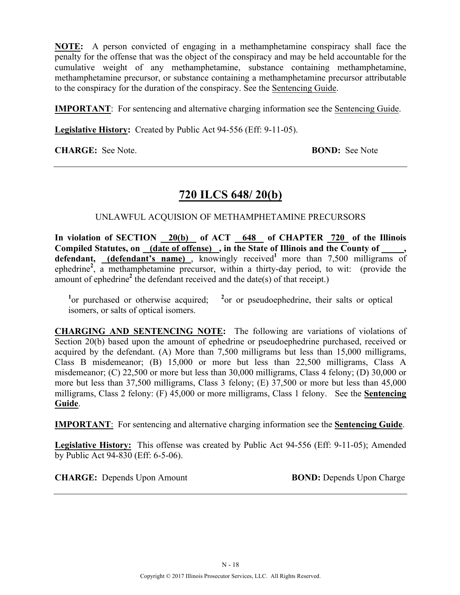**NOTE:** A person convicted of engaging in a methamphetamine conspiracy shall face the penalty for the offense that was the object of the conspiracy and may be held accountable for the cumulative weight of any methamphetamine, substance containing methamphetamine, methamphetamine precursor, or substance containing a methamphetamine precursor attributable to the conspiracy for the duration of the conspiracy. See the Sentencing Guide.

**IMPORTANT**: For sentencing and alternative charging information see the Sentencing Guide.

**Legislative History:** Created by Public Act 94-556 (Eff: 9-11-05).

**CHARGE:** See Note. **BOND:** See Note

### **720 ILCS 648/ 20(b)**

#### UNLAWFUL ACQUISION OF METHAMPHETAMINE PRECURSORS

In violation of SECTION 20(b) of ACT 648 of CHAPTER 720 of the Illinois **Compiled Statutes, on (date of offense) , in the State of Illinois and the County of \_\_\_\_\_,**  defendant, (defendant's name), knowingly received<sup>1</sup> more than 7,500 milligrams of ephedrine<sup>2</sup>, a methamphetamine precursor, within a thirty-day period, to wit: (provide the amount of ephedrine<sup>2</sup> the defendant received and the date(s) of that receipt.)

<sup>1</sup><sub>or</sub> purchased or otherwise acquired; <sup>2</sup> <sup>2</sup> or or pseudoephedrine, their salts or optical isomers, or salts of optical isomers.

**CHARGING AND SENTENCING NOTE:** The following are variations of violations of Section 20(b) based upon the amount of ephedrine or pseudoephedrine purchased, received or acquired by the defendant. (A) More than 7,500 milligrams but less than 15,000 milligrams, Class B misdemeanor; (B) 15,000 or more but less than 22,500 milligrams, Class A misdemeanor; (C) 22,500 or more but less than 30,000 milligrams, Class 4 felony; (D) 30,000 or more but less than 37,500 milligrams, Class 3 felony; (E) 37,500 or more but less than 45,000 milligrams, Class 2 felony: (F) 45,000 or more milligrams, Class 1 felony. See the **Sentencing Guide**.

**IMPORTANT**: For sentencing and alternative charging information see the **Sentencing Guide**.

**Legislative History:** This offense was created by Public Act 94-556 (Eff: 9-11-05); Amended by Public Act 94-830 (Eff: 6-5-06).

**CHARGE:** Depends Upon Amount **BOND:** Depends Upon Charge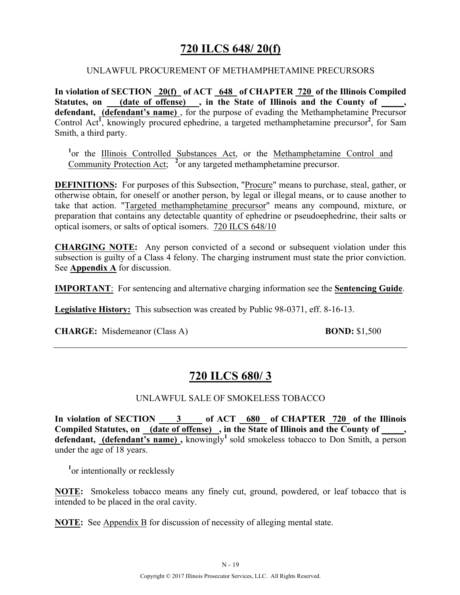# **720 ILCS 648/ 20(f)**

#### UNLAWFUL PROCUREMENT OF METHAMPHETAMINE PRECURSORS

**In violation of SECTION 20(f) of ACT 648 of CHAPTER 720 of the Illinois Compiled**  Statutes, on (date of offense), in the State of Illinois and the County of, **defendant, (defendant's name)** , for the purpose of evading the Methamphetamine Precursor Control Act<sup>1</sup>, knowingly procured ephedrine, a targeted methamphetamine precursor<sup>2</sup>, for Sam Smith, a third party.

<sup>1</sup>or the Illinois Controlled Substances Act, or the Methamphetamine Control and Community Protection Act; **<sup>2</sup>** or any targeted methamphetamine precursor.

**DEFINITIONS:** For purposes of this Subsection, "Procure" means to purchase, steal, gather, or otherwise obtain, for oneself or another person, by legal or illegal means, or to cause another to take that action. "Targeted methamphetamine precursor" means any compound, mixture, or preparation that contains any detectable quantity of ephedrine or pseudoephedrine, their salts or optical isomers, or salts of optical isomers. 720 ILCS 648/10

**CHARGING NOTE:** Any person convicted of a second or subsequent violation under this subsection is guilty of a Class 4 felony. The charging instrument must state the prior conviction. See **Appendix A** for discussion.

**IMPORTANT**: For sentencing and alternative charging information see the **Sentencing Guide**.

**Legislative History:** This subsection was created by Public 98-0371, eff. 8-16-13.

**CHARGE:** Misdemeanor (Class A) **BOND:** \$1,500

# **720 ILCS 680/ 3**

#### UNLAWFUL SALE OF SMOKELESS TOBACCO

**In violation of SECTION 3 of ACT 680 of CHAPTER 720 of the Illinois**  Compiled Statutes, on (date of offense), in the State of Illinois and the County of, **defendant, (defendant's name) ,** knowingly**<sup>1</sup>**sold smokeless tobacco to Don Smith, a person under the age of 18 years.

<sup>1</sup><sub>or</sub> intentionally or recklessly

**NOTE:** Smokeless tobacco means any finely cut, ground, powdered, or leaf tobacco that is intended to be placed in the oral cavity.

**NOTE:** See Appendix B for discussion of necessity of alleging mental state.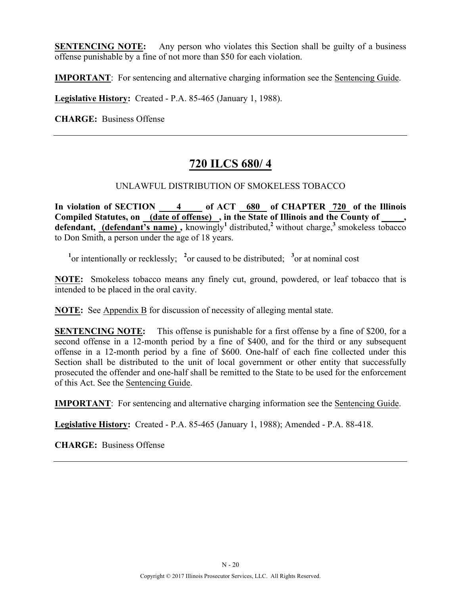**SENTENCING NOTE:** Any person who violates this Section shall be guilty of a business offense punishable by a fine of not more than \$50 for each violation.

**IMPORTANT**: For sentencing and alternative charging information see the Sentencing Guide.

**Legislative History:** Created - P.A. 85-465 (January 1, 1988).

**CHARGE:** Business Offense

# **720 ILCS 680/ 4**

#### UNLAWFUL DISTRIBUTION OF SMOKELESS TOBACCO

**In violation of SECTION 4 of ACT 680 of CHAPTER 720 of the Illinois**  Compiled Statutes, on (date of offense), in the State of Illinois and the County of \_\_\_\_\_, **defendant, (defendant's name),** knowingly<sup>1</sup> distributed,<sup>2</sup> without charge,<sup>3</sup> smokeless tobacco to Don Smith, a person under the age of 18 years.

<sup>1</sup><sup>or</sup> intentionally or recklessly; <sup>2</sup> or caused to be distributed; <sup>3</sup> or at nominal cost

**NOTE:** Smokeless tobacco means any finely cut, ground, powdered, or leaf tobacco that is intended to be placed in the oral cavity.

**NOTE:** See Appendix B for discussion of necessity of alleging mental state.

**SENTENCING NOTE:** This offense is punishable for a first offense by a fine of \$200, for a second offense in a 12-month period by a fine of \$400, and for the third or any subsequent offense in a 12-month period by a fine of \$600. One-half of each fine collected under this Section shall be distributed to the unit of local government or other entity that successfully prosecuted the offender and one-half shall be remitted to the State to be used for the enforcement of this Act. See the Sentencing Guide.

**IMPORTANT**: For sentencing and alternative charging information see the Sentencing Guide.

**Legislative History:** Created - P.A. 85-465 (January 1, 1988); Amended - P.A. 88-418.

**CHARGE:** Business Offense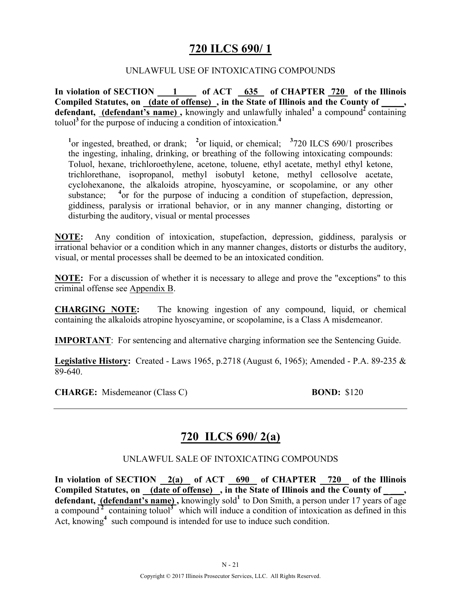# **720 ILCS 690/ 1**

#### UNLAWFUL USE OF INTOXICATING COMPOUNDS

In violation of SECTION 1 of ACT 635 of CHAPTER 720 of the Illinois **Compiled Statutes, on (date of offense) , in the State of Illinois and the County of \_\_\_\_\_, defendant, (defendant's name),** knowingly and unlawfully inhaled<sup>1</sup> a compound<sup>2</sup> containing toluol**<sup>3</sup>**for the purpose of inducing a condition of intoxication.**<sup>4</sup>**

<sup>1</sup><sup>or</sup> ingested, breathed, or drank; <sup>2</sup><sup>or</sup> liquid, or chemical; <sup>3</sup>720 ILCS 690/1 proscribes the ingesting, inhaling, drinking, or breathing of the following intoxicating compounds: Toluol, hexane, trichloroethylene, acetone, toluene, ethyl acetate, methyl ethyl ketone, trichlorethane, isopropanol, methyl isobutyl ketone, methyl cellosolve acetate, cyclohexanone, the alkaloids atropine, hyoscyamine, or scopolamine, or any other substance; <sup>4</sup> or for the purpose of inducing a condition of stupefaction, depression, giddiness, paralysis or irrational behavior, or in any manner changing, distorting or disturbing the auditory, visual or mental processes

**NOTE:** Any condition of intoxication, stupefaction, depression, giddiness, paralysis or irrational behavior or a condition which in any manner changes, distorts or disturbs the auditory, visual, or mental processes shall be deemed to be an intoxicated condition.

**NOTE:** For a discussion of whether it is necessary to allege and prove the "exceptions" to this criminal offense see Appendix B.

**CHARGING NOTE:** The knowing ingestion of any compound, liquid, or chemical containing the alkaloids atropine hyoscyamine, or scopolamine, is a Class A misdemeanor.

**IMPORTANT**: For sentencing and alternative charging information see the Sentencing Guide.

**Legislative History:** Created - Laws 1965, p.2718 (August 6, 1965); Amended - P.A. 89-235 & 89-640.

**CHARGE:** Misdemeanor (Class C) **BOND:** \$120

# **720 ILCS 690/ 2(a)**

#### UNLAWFUL SALE OF INTOXICATING COMPOUNDS

In violation of SECTION 2(a) of ACT 690 of CHAPTER 720 of the Illinois Compiled Statutes, on (date of offense), in the State of Illinois and the County of, **defendant, (defendant's name),** knowingly sold<sup>1</sup> to Don Smith, a person under 17 years of age a compound<sup>2</sup> containing toluol<sup>3</sup> which will induce a condition of intoxication as defined in this Act, knowing<sup>4</sup> such compound is intended for use to induce such condition.